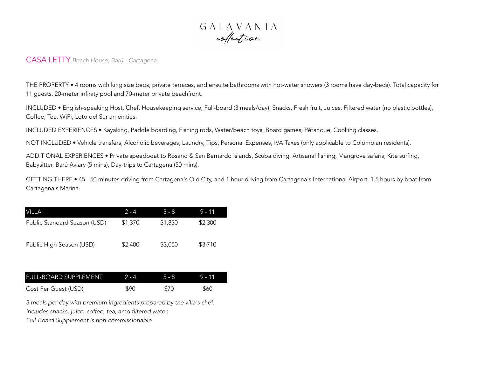

## CASA LETTY *Beach House, Barú - Cartagena*

THE PROPERTY • 4 rooms with king size beds, private terraces, and ensuite bathrooms with hot-water showers (3 rooms have day-beds). Total capacity for 11 guests. 20-meter infinity pool and 70-meter private beachfront.

INCLUDED • English-speaking Host, Chef, Housekeeping service, Full-board (3 meals/day), Snacks, Fresh fruit, Juices, Filtered water (no plastic bottles), Coffee, Tea, WiFi, Loto del Sur amenities.

INCLUDED EXPERIENCES • Kayaking, Paddle boarding, Fishing rods, Water/beach toys, Board games, Pétanque, Cooking classes.

NOT INCLUDED • Vehicle transfers, Alcoholic beverages, Laundry, Tips, Personal Expenses, IVA Taxes (only applicable to Colombian residents).

ADDITIONAL EXPERIENCES • Private speedboat to Rosario & San Bernardo Islands, Scuba diving, Artisanal fishing, Mangrove safaris, Kite surfing, Babysitter, Barú Aviary (5 mins), Day-trips to Cartagena (50 mins).

GETTING THERE • 45 - 50 minutes driving from Cartagena's Old City, and 1 hour driving from Cartagena's International Airport. 1.5 hours by boat from Cartagena's Marina.

| <b>VILLA</b>                 | $2 - 4$ | $5 - 8$ | $9 - 11$ |
|------------------------------|---------|---------|----------|
| Public Standard Season (USD) | \$1,370 | \$1,830 | \$2,300  |
| Public High Season (USD)     | \$2,400 | \$3,050 | \$3,710  |

| <b>FULL-BOARD SUPPLEMENT</b> | $2 - 4$ | 5-8  | 9.11 |
|------------------------------|---------|------|------|
| Cost Per Guest (USD)         | \$90    | \$70 | \$60 |

*3 meals per day with premium ingredients prepared by the villa's chef. Includes snacks, juice, coffee, tea, amd filtered water.*

*Full-Board Supplement is non-commissionable*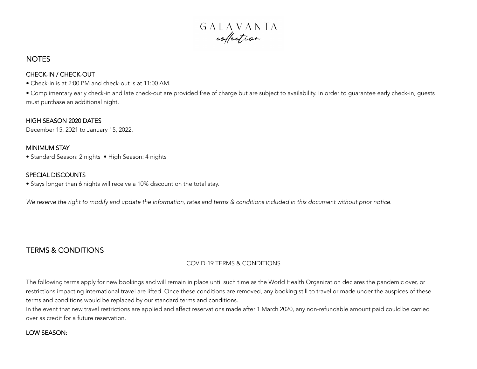

# **NOTES**

### CHECK-IN / CHECK-OUT

• Check-in is at 2:00 PM and check-out is at 11:00 AM.

• Complimentary early check-in and late check-out are provided free of charge but are subject to availability. In order to guarantee early check-in, guests must purchase an additional night.

#### HIGH SEASON 2020 DATES

December 15, 2021 to January 15, 2022.

#### MINIMUM STAY

• Standard Season: 2 nights • High Season: 4 nights

## SPECIAL DISCOUNTS

• Stays longer than 6 nights will receive a 10% discount on the total stay.

*We reserve the right to modify and update the information, rates and terms & conditions included in this document without prior notice.*

# TERMS & CONDITIONS

## COVID-19 TERMS & CONDITIONS

The following terms apply for new bookings and will remain in place until such time as the World Health Organization declares the pandemic over, or restrictions impacting international travel are lifted. Once these conditions are removed, any booking still to travel or made under the auspices of these terms and conditions would be replaced by our standard terms and conditions.

In the event that new travel restrictions are applied and affect reservations made after 1 March 2020, any non-refundable amount paid could be carried over as credit for a future reservation.

## LOW SEASON: